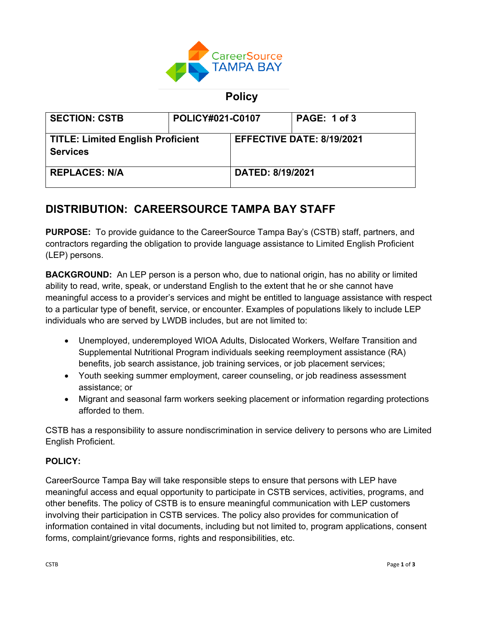

## **Policy**

| <b>SECTION: CSTB</b>                                        | <b>POLICY#021-C0107</b> |                           | <b>PAGE: 1 of 3</b> |
|-------------------------------------------------------------|-------------------------|---------------------------|---------------------|
| <b>TITLE: Limited English Proficient</b><br><b>Services</b> |                         | EFFECTIVE DATE: 8/19/2021 |                     |
| <b>REPLACES: N/A</b>                                        |                         | <b>DATED: 8/19/2021</b>   |                     |

# **DISTRIBUTION: CAREERSOURCE TAMPA BAY STAFF**

**PURPOSE:** To provide guidance to the CareerSource Tampa Bay's (CSTB) staff, partners, and contractors regarding the obligation to provide language assistance to Limited English Proficient (LEP) persons.

**BACKGROUND:** An LEP person is a person who, due to national origin, has no ability or limited ability to read, write, speak, or understand English to the extent that he or she cannot have meaningful access to a provider's services and might be entitled to language assistance with respect to a particular type of benefit, service, or encounter. Examples of populations likely to include LEP individuals who are served by LWDB includes, but are not limited to:

- Unemployed, underemployed WIOA Adults, Dislocated Workers, Welfare Transition and Supplemental Nutritional Program individuals seeking reemployment assistance (RA) benefits, job search assistance, job training services, or job placement services;
- Youth seeking summer employment, career counseling, or job readiness assessment assistance; or
- Migrant and seasonal farm workers seeking placement or information regarding protections afforded to them.

CSTB has a responsibility to assure nondiscrimination in service delivery to persons who are Limited English Proficient.

## **POLICY:**

CareerSource Tampa Bay will take responsible steps to ensure that persons with LEP have meaningful access and equal opportunity to participate in CSTB services, activities, programs, and other benefits. The policy of CSTB is to ensure meaningful communication with LEP customers involving their participation in CSTB services. The policy also provides for communication of information contained in vital documents, including but not limited to, program applications, consent forms, complaint/grievance forms, rights and responsibilities, etc.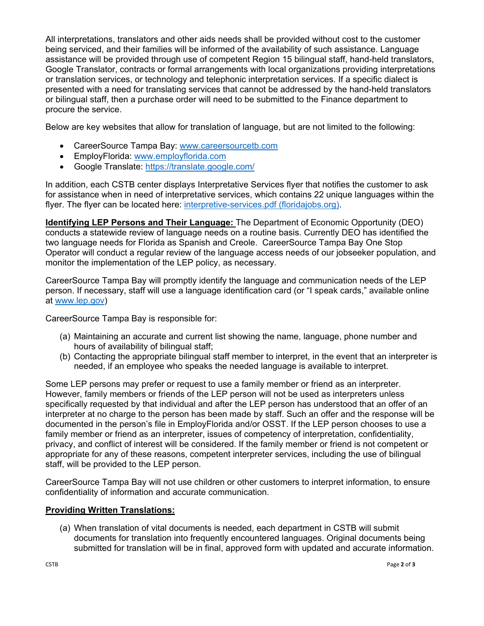All interpretations, translators and other aids needs shall be provided without cost to the customer being serviced, and their families will be informed of the availability of such assistance. Language assistance will be provided through use of competent Region 15 bilingual staff, hand-held translators, Google Translator, contracts or formal arrangements with local organizations providing interpretations or translation services, or technology and telephonic interpretation services. If a specific dialect is presented with a need for translating services that cannot be addressed by the hand-held translators or bilingual staff, then a purchase order will need to be submitted to the Finance department to procure the service.

Below are key websites that allow for translation of language, but are not limited to the following:

- CareerSource Tampa Bay: www.careersourcetb.com
- EmployFlorida: www.employflorida.com
- Google Translate: https://translate.google.com/

In addition, each CSTB center displays Interpretative Services flyer that notifies the customer to ask for assistance when in need of interpretative services, which contains 22 unique languages within the flyer. The flyer can be located here: interpretive-services.pdf (floridajobs.org).

**Identifying LEP Persons and Their Language:** The Department of Economic Opportunity (DEO) conducts a statewide review of language needs on a routine basis. Currently DEO has identified the two language needs for Florida as Spanish and Creole. CareerSource Tampa Bay One Stop Operator will conduct a regular review of the language access needs of our jobseeker population, and monitor the implementation of the LEP policy, as necessary.

CareerSource Tampa Bay will promptly identify the language and communication needs of the LEP person. If necessary, staff will use a language identification card (or "I speak cards," available online at www.lep.gov)

CareerSource Tampa Bay is responsible for:

- (a) Maintaining an accurate and current list showing the name, language, phone number and hours of availability of bilingual staff;
- (b) Contacting the appropriate bilingual staff member to interpret, in the event that an interpreter is needed, if an employee who speaks the needed language is available to interpret.

Some LEP persons may prefer or request to use a family member or friend as an interpreter. However, family members or friends of the LEP person will not be used as interpreters unless specifically requested by that individual and after the LEP person has understood that an offer of an interpreter at no charge to the person has been made by staff. Such an offer and the response will be documented in the person's file in EmployFlorida and/or OSST. If the LEP person chooses to use a family member or friend as an interpreter, issues of competency of interpretation, confidentiality, privacy, and conflict of interest will be considered. If the family member or friend is not competent or appropriate for any of these reasons, competent interpreter services, including the use of bilingual staff, will be provided to the LEP person.

CareerSource Tampa Bay will not use children or other customers to interpret information, to ensure confidentiality of information and accurate communication.

#### **Providing Written Translations:**

(a) When translation of vital documents is needed, each department in CSTB will submit documents for translation into frequently encountered languages. Original documents being submitted for translation will be in final, approved form with updated and accurate information.